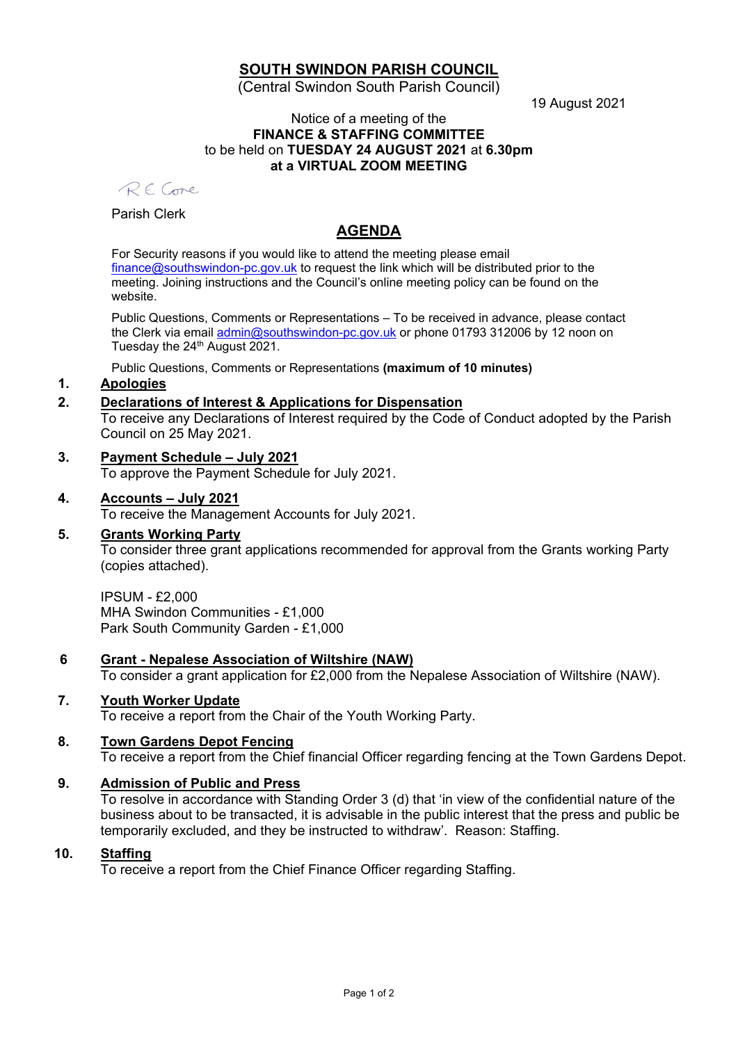## **SOUTH SWINDON PARISH COUNCIL**

(Central Swindon South Parish Council)

19 August 2021

#### Notice of a meeting of the **FINANCE & STAFFING COMMITTEE** to be held on **TUESDAY 24 AUGUST 2021** at **6.30pm at a VIRTUAL ZOOM MEETING**

RF Come

Parish Clerk

# **AGENDA**

For Security reasons if you would like to attend the meeting please email [finance@southswindon-pc.gov.uk](mailto:finance@southswindon-pc.gov.uk) to request the link which will be distributed prior to the meeting. Joining instructions and the Council's online meeting policy can be found on the website.

Public Questions, Comments or Representations – To be received in advance, please contact the Clerk via email [admin@southswindon-pc.gov.uk](mailto:admin@southswindon-pc.gov.uk) or phone 01793 312006 by 12 noon on Tuesday the 24<sup>th</sup> August 2021.

Public Questions, Comments or Representations **(maximum of 10 minutes)**

## **1. Apologies**

## **2. Declarations of Interest & Applications for Dispensation**

To receive any Declarations of Interest required by the Code of Conduct adopted by the Parish Council on 25 May 2021.

## **3. Payment Schedule – July 2021**

To approve the Payment Schedule for July 2021.

#### **4. Accounts – July 2021**

To receive the Management Accounts for July 2021.

#### **5. Grants Working Party**

To consider three grant applications recommended for approval from the Grants working Party (copies attached).

IPSUM - £2,000 MHA Swindon Communities - £1,000 Park South Community Garden - £1,000

## **6 Grant - Nepalese Association of Wiltshire (NAW)**

To consider a grant application for £2,000 from the Nepalese Association of Wiltshire (NAW).

## **7. Youth Worker Update**

To receive a report from the Chair of the Youth Working Party.

# **8. Town Gardens Depot Fencing**

To receive a report from the Chief financial Officer regarding fencing at the Town Gardens Depot.

# **9. Admission of Public and Press**

To resolve in accordance with Standing Order 3 (d) that 'in view of the confidential nature of the business about to be transacted, it is advisable in the public interest that the press and public be temporarily excluded, and they be instructed to withdraw'. Reason: Staffing.

## **10. Staffing**

To receive a report from the Chief Finance Officer regarding Staffing.